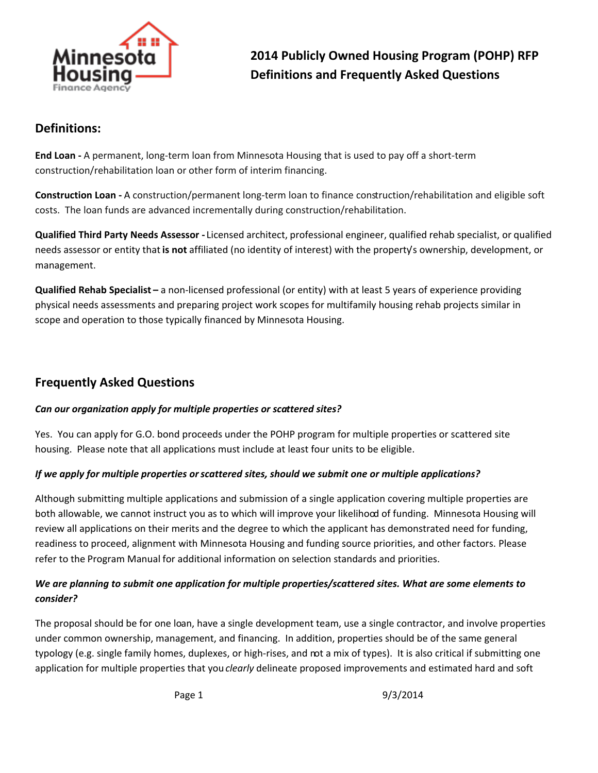

**2014 Publicly Owned Housing Program (POHP) RFP Definitions and Frequently Asked Questions**

# **Definitions:**

**End Loan -** A permanent, long-term loan from Minnesota Housing that is used to pay off a short-term construction/rehabilitation loan or other form of interim financing.

**Construction Loan -** A construction/permanent long-term loan to finance construction/rehabilitation and eligible soft costs. The loan funds are advanced incrementally during construction/rehabilitation.

**Qualified Third Party Needs Assessor -** Licensed architect, professional engineer, qualified rehab specialist, or qualified needs assessor or entity that **is not** affiliated (no identity of interest) with the property's ownership, development, or management.

**Qualified Rehab Specialist –** a non-licensed professional (or entity) with at least 5 years of experience providing physical needs assessments and preparing project work scopes for multifamily housing rehab projects similar in scope and operation to those typically financed by Minnesota Housing.

# **Frequently Asked Questions**

### *Can our organization apply for multiple properties or scattered sites?*

Yes. You can apply for G.O. bond proceeds under the POHP program for multiple properties or scattered site housing. Please note that all applications must include at least four units to be eligible.

### *If we apply for multiple properties or scattered sites, should we submit one or multiple applications?*

Although submitting multiple applications and submission of a single application covering multiple properties are both allowable, we cannot instruct you as to which will improve your likelihood of funding. Minnesota Housing will review all applications on their merits and the degree to which the applicant has demonstrated need for funding, readiness to proceed, alignment with Minnesota Housing and funding source priorities, and other factors. Please refer to the Program Manual for additional information on selection standards and priorities.

# *We are planning to submit one application for multiple properties/scattered sites. What are some elements to consider?*

The proposal should be for one loan, have a single development team, use a single contractor, and involve properties under common ownership, management, and financing. In addition, properties should be of the same general typology (e.g. single family homes, duplexes, or high-rises, and not a mix of types). It is also critical if submitting one application for multiple properties that you *clearly* delineate proposed improvements and estimated hard and soft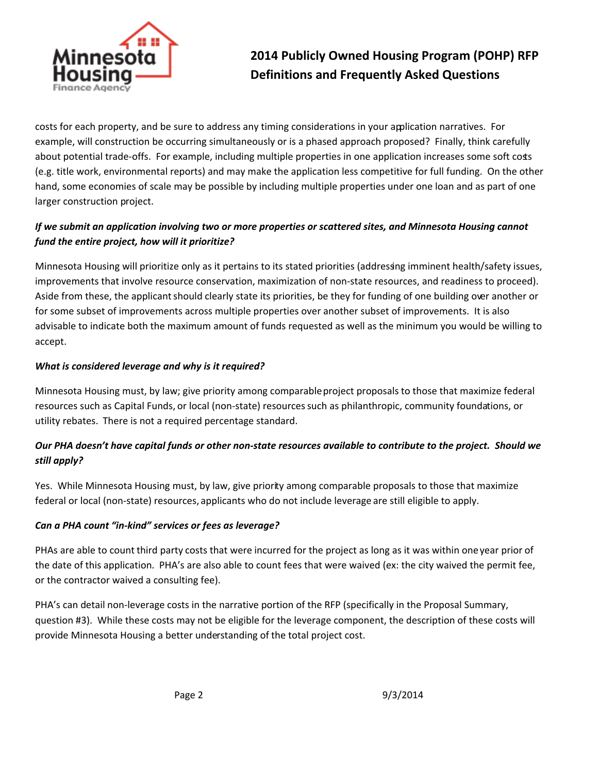

**2014 Publicly Owned Housing Program (POHP) RFP Definitions and Frequently Asked Questions**

costs for each property, and be sure to address any timing considerations in your application narratives. For example, will construction be occurring simultaneously or is a phased approach proposed? Finally, think carefully about potential trade-offs. For example, including multiple properties in one application increases some soft costs (e.g. title work, environmental reports) and may make the application less competitive for full funding. On the other hand, some economies of scale may be possible by including multiple properties under one loan and as part of one larger construction project.

# *If we submit an application involving two or more properties or scattered sites, and Minnesota Housing cannot fund the entire project, how will it prioritize?*

Minnesota Housing will prioritize only as it pertains to its stated priorities (addressing imminent health/safety issues, improvements that involve resource conservation, maximization of non-state resources, and readiness to proceed). Aside from these, the applicant should clearly state its priorities, be they for funding of one building over another or for some subset of improvements across multiple properties over another subset of improvements. It is also advisable to indicate both the maximum amount of funds requested as well as the minimum you would be willing to accept.

### *What is considered leverage and why is it required?*

Minnesota Housing must, by law; give priority among comparable project proposals to those that maximize federal resources such as Capital Funds, or local (non-state) resources such as philanthropic, community foundations, or utility rebates. There is not a required percentage standard.

# *Our PHA doesn't have capital funds or other non-state resources available to contribute to the project. Should we still apply?*

Yes. While Minnesota Housing must, by law, give priority among comparable proposals to those that maximize federal or local (non-state) resources, applicants who do not include leverage are still eligible to apply.

## *Can a PHA count "in-kind" services or fees as leverage?*

PHAs are able to count third party costs that were incurred for the project as long as it was within one year prior of the date of this application. PHA's are also able to count fees that were waived (ex: the city waived the permit fee, or the contractor waived a consulting fee).

PHA's can detail non-leverage costs in the narrative portion of the RFP (specifically in the Proposal Summary, question #3). While these costs may not be eligible for the leverage component, the description of these costs will provide Minnesota Housing a better understanding of the total project cost.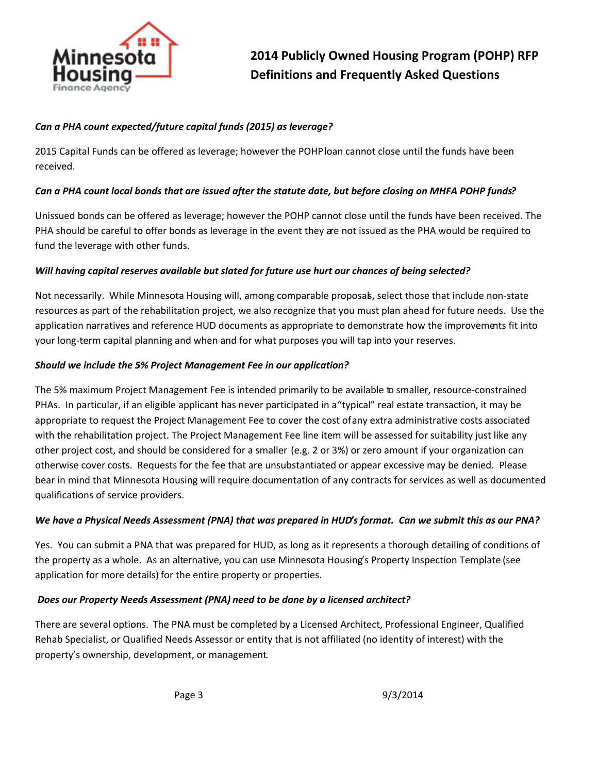

### *Can a PHA count expected/future capital funds (2015) as leverage?*

2015 Capital Funds can be offered as leverage; however the POHP loan cannot close until the funds have been received.

### *Can a PHA count local bonds that are issued after the statute date, but before closing on MHFA POHP funds?*

Unissued bonds can be offered as leverage; however the POHP cannot close until the funds have been received. The PHA should be careful to offer bonds as leverage in the event they are not issued as the PHA would be required to fund the leverage with other funds.

### *Will having capital reserves available but slated for future use hurt our chances of being selected?*

Not necessarily. While Minnesota Housing will, among comparable proposals, select those that include non-state resources as part of the rehabilitation project, we also recognize that you must plan ahead for future needs. Use the application narratives and reference HUD documents as appropriate to demonstrate how the improvements fit into your long-term capital planning and when and for what purposes you will tap into your reserves.

### *Should we include the 5% Project Management Fee in our application?*

The 5% maximum Project Management Fee is intended primarily to be available to smaller, resource-constrained PHAs. In particular, if an eligible applicant has never participated in a "typical" real estate transaction, it may be appropriate to request the Project Management Fee to cover the cost of any extra administrative costs associated with the rehabilitation project. The Project Management Fee line item will be assessed for suitability just like any other project cost, and should be considered for a smaller (e.g. 2 or 3%) or zero amount if your organization can otherwise cover costs. Requests for the fee that are unsubstantiated or appear excessive may be denied. Please bear in mind that Minnesota Housing will require documentation of any contracts for services as well as documented qualifications of service providers.

### *We have a Physical Needs Assessment (PNA) that was prepared in HUD's format. Can we submit this as our PNA?*

Yes. You can submit a PNA that was prepared for HUD, as long as it represents a thorough detailing of conditions of the property as a whole. As an alternative, you can use Minnesota Housing's Property Inspection Template (see application for more details) for the entire property or properties.

### *Does our Property Needs Assessment (PNA) need to be done by a licensed architect?*

There are several options. The PNA must be completed by a Licensed Architect, Professional Engineer, Qualified Rehab Specialist, or Qualified Needs Assessor or entity that is not affiliated (no identity of interest) with the property's ownership, development, or management.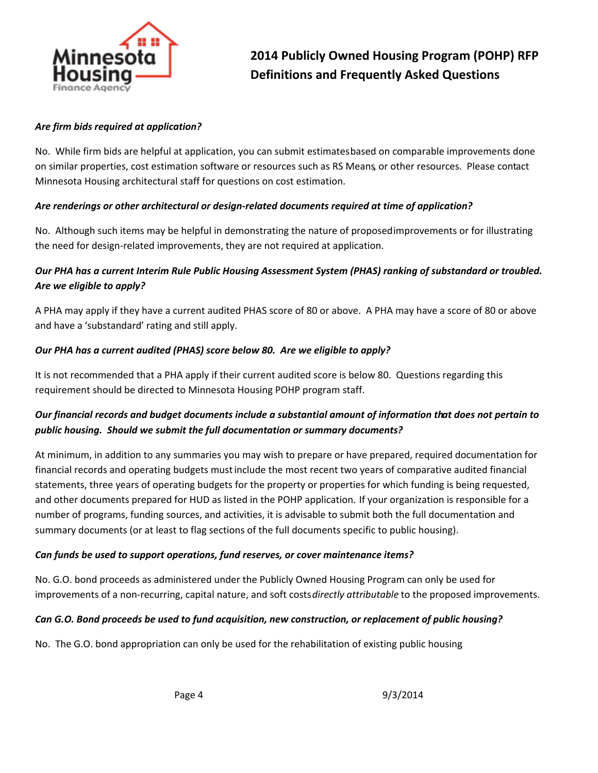

#### *Are firm bids required at application?*

No. While firm bids are helpful at application, you can submit estimates based on comparable improvements done on similar properties, cost estimation software or resources such as RS Means, or other resources. Please contact Minnesota Housing architectural staff for questions on cost estimation.

#### *Are renderings or other architectural or design-related documents required at time of application?*

No. Although such items may be helpful in demonstrating the nature of proposed improvements or for illustrating the need for design-related improvements, they are not required at application.

## *Our PHA has a current Interim Rule Public Housing Assessment System (PHAS) ranking of substandard or troubled. Are we eligible to apply?*

A PHA may apply if they have a current audited PHAS score of 80 or above. A PHA may have a score of 80 or above and have a 'substandard' rating and still apply.

#### *Our PHA has a current audited (PHAS) score below 80. Are we eligible to apply?*

It is not recommended that a PHA apply if their current audited score is below 80. Questions regarding this requirement should be directed to Minnesota Housing POHP program staff.

## *Our financial records and budget documents include a substantial amount of information that does not pertain to public housing. Should we submit the full documentation or summary documents?*

At minimum, in addition to any summaries you may wish to prepare or have prepared, required documentation for financial records and operating budgets must include the most recent two years of comparative audited financial statements, three years of operating budgets for the property or properties for which funding is being requested, and other documents prepared for HUD as listed in the POHP application. If your organization is responsible for a number of programs, funding sources, and activities, it is advisable to submit both the full documentation and summary documents (or at least to flag sections of the full documents specific to public housing).

### *Can funds be used to support operations, fund reserves, or cover maintenance items?*

No. G.O. bond proceeds as administered under the Publicly Owned Housing Program can only be used for improvements of a non-recurring, capital nature, and soft costs *directly attributable* to the proposed improvements.

#### *Can G.O. Bond proceeds be used to fund acquisition, new construction, or replacement of public housing?*

No. The G.O. bond appropriation can only be used for the rehabilitation of existing public housing.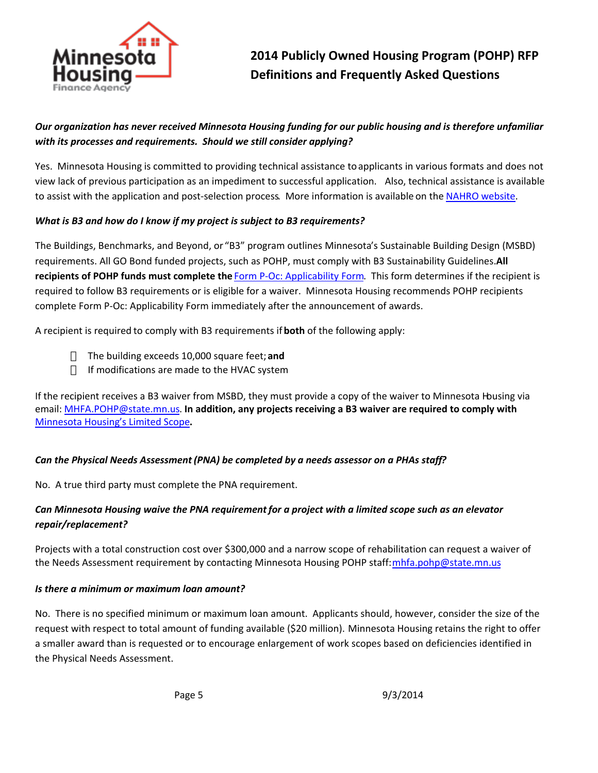

## *Our organization has never received Minnesota Housing funding for our public housing and is therefore unfamiliar with its processes and requirements. Should we still consider applying?*

Yes. Minnesota Housing is committed to providing technical assistance to applicants in various formats and does not view lack of previous participation as an impediment to successful application. Also, technical assistance is available to assist with the application and post-selection process. More information is available on the [NAHRO website](http://mnnahro.org/TAforPOHP).

### *What is B3 and how do I know if my project is subject to B3 requirements?*

The Buildings, Benchmarks, and Beyond, or "B3" program outlines Minnesota's Sustainable Building Design (MSBD) requirements. All GO Bond funded projects, such as POHP, must comply with B3 Sustainability Guidelines. **All recipients of POHP funds must complete the** [Form P-Oc: Applicability Form](http://b3mn.org/guidelines/downloads_v2_2/FormP-0c.pdf). This form determines if the recipient is required to follow B3 requirements or is eligible for a waiver. Minnesota Housing recommends POHP recipients complete Form P-Oc: Applicability Form immediately after the announcement of awards.

A recipient is required to comply with B3 requirements if **both** of the following apply:

The building exceeds 10,000 square feet; **and** If modifications are made to the HVAC system

If the recipient receives a B3 waiver from MSBD, they must provide a copy of the waiver to Minnesota Housing via email: [MHFA.POHP@state.mn.us](mailto:MHFA.POHP@state.mn.us). **In addition, any projects receiving a B3 waiver are required to comply with**  [Minnesota Housing's Limited Scope](http://www.mnhousing.gov/download/MHFA_013774)**.**

### *Can the Physical Needs Assessment (PNA) be completed by a needs assessor on a PHAs staff?*

No. A true third party must complete the PNA requirement.

### *Can Minnesota Housing waive the PNA requirement for a project with a limited scope such as an elevator repair/replacement?*

Projects with a total construction cost over \$300,000 and a narrow scope of rehabilitation can request a waiver of the Needs Assessment requirement by contacting Minnesota Housing POHP staff[: mhfa.pohp@state.mn.us](mailto:mhfa.pohp@state.mn.us)

#### *Is there a minimum or maximum loan amount?*

No. There is no specified minimum or maximum loan amount. Applicants should, however, consider the size of the request with respect to total amount of funding available (\$20 million). Minnesota Housing retains the right to offer a smaller award than is requested or to encourage enlargement of work scopes based on deficiencies identified in the Physical Needs Assessment.